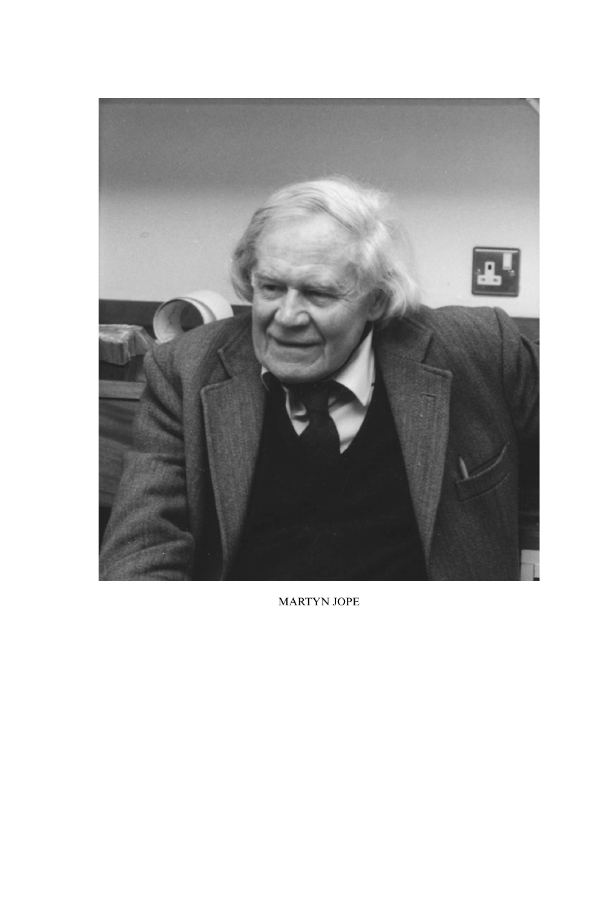

MARTYN JOPE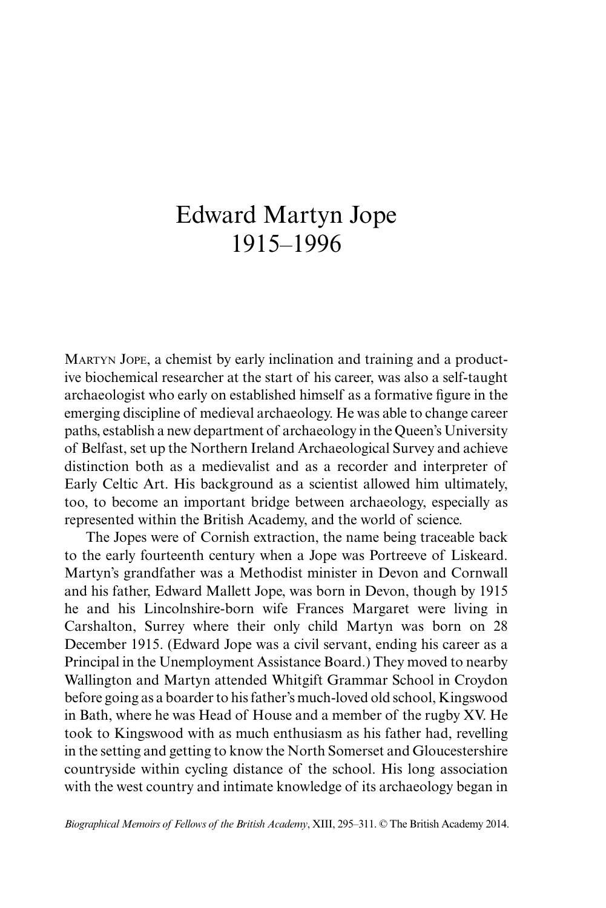## Edward Martyn Jope 1915–1996

Martyn Jope, a chemist by early inclination and training and a productive biochemical researcher at the start of his career, was also a self-taught archaeologist who early on established himself as a formative figure in the emerging discipline of medieval archaeology. He was able to change career paths, establish a new department of archaeology in the Queen's University of Belfast, set up the Northern Ireland Archaeological Survey and achieve distinction both as a medievalist and as a recorder and interpreter of Early Celtic Art. His background as a scientist allowed him ultimately, too, to become an important bridge between archaeology, especially as represented within the British Academy, and the world of science.

The Jopes were of Cornish extraction, the name being traceable back to the early fourteenth century when a Jope was Portreeve of Liskeard. Martyn's grandfather was a Methodist minister in Devon and Cornwall and his father, Edward Mallett Jope, was born in Devon, though by 1915 he and his Lincolnshire-born wife Frances Margaret were living in Carshalton, Surrey where their only child Martyn was born on 28 December 1915. (Edward Jope was a civil servant, ending his career as a Principal in the Unemployment Assistance Board.) They moved to nearby Wallington and Martyn attended Whitgift Grammar School in Croydon before going as a boarder to his father's much-loved old school, Kingswood in Bath, where he was Head of House and a member of the rugby XV. He took to Kingswood with as much enthusiasm as his father had, revelling in the setting and getting to know the North Somerset and Gloucestershire countryside within cycling distance of the school. His long association with the west country and intimate knowledge of its archaeology began in

*Biographical Memoirs of Fellows of the British Academy*, XIII, 295–311. © The British Academy 2014.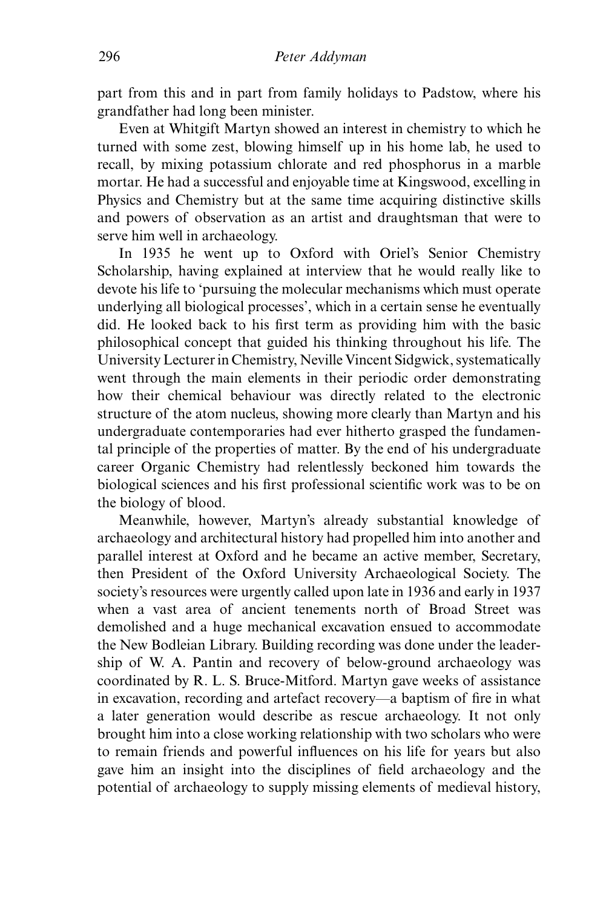part from this and in part from family holidays to Padstow, where his grandfather had long been minister.

Even at Whitgift Martyn showed an interest in chemistry to which he turned with some zest, blowing himself up in his home lab, he used to recall, by mixing potassium chlorate and red phosphorus in a marble mortar. He had a successful and enjoyable time at Kingswood, excelling in Physics and Chemistry but at the same time acquiring distinctive skills and powers of observation as an artist and draughtsman that were to serve him well in archaeology.

In 1935 he went up to Oxford with Oriel's Senior Chemistry Scholarship, having explained at interview that he would really like to devote his life to 'pursuing the molecular mechanisms which must operate underlying all biological processes', which in a certain sense he eventually did. He looked back to his first term as providing him with the basic philosophical concept that guided his thinking throughout his life. The University Lecturer in Chemistry, Neville Vincent Sidgwick, systematically went through the main elements in their periodic order demonstrating how their chemical behaviour was directly related to the electronic structure of the atom nucleus, showing more clearly than Martyn and his undergraduate contemporaries had ever hitherto grasped the fundamental principle of the properties of matter. By the end of his undergraduate career Organic Chemistry had relentlessly beckoned him towards the biological sciences and his first professional scientific work was to be on the biology of blood.

Meanwhile, however, Martyn's already substantial knowledge of archaeology and architectural history had propelled him into another and parallel interest at Oxford and he became an active member, Secretary, then President of the Oxford University Archaeological Society. The society's resources were urgently called upon late in 1936 and early in 1937 when a vast area of ancient tenements north of Broad Street was demolished and a huge mechanical excavation ensued to accommodate the New Bodleian Library. Building recording was done under the leadership of W. A. Pantin and recovery of below-ground archaeology was coordinated by R. L. S. Bruce-Mitford. Martyn gave weeks of assistance in excavation, recording and artefact recovery—a baptism of fire in what a later generation would describe as rescue archaeology. It not only brought him into a close working relationship with two scholars who were to remain friends and powerful influences on his life for years but also gave him an insight into the disciplines of field archaeology and the potential of archaeology to supply missing elements of medieval history,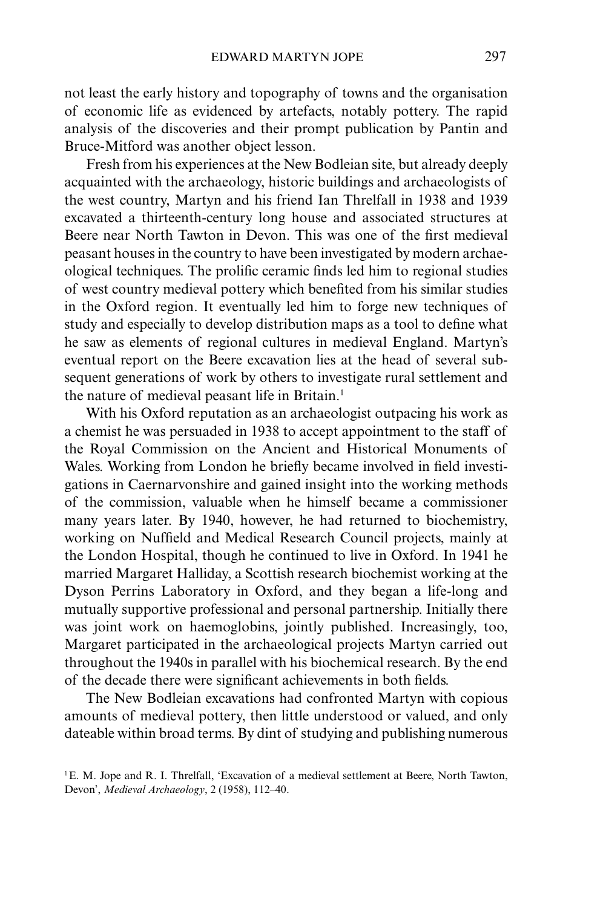not least the early history and topography of towns and the organisation of economic life as evidenced by artefacts, notably pottery. The rapid analysis of the discoveries and their prompt publication by Pantin and Bruce-Mitford was another object lesson.

Fresh from his experiences at the New Bodleian site, but already deeply acquainted with the archaeology, historic buildings and archaeologists of the west country, Martyn and his friend Ian Threlfall in 1938 and 1939 excavated a thirteenth-century long house and associated structures at Beere near North Tawton in Devon. This was one of the first medieval peasant houses in the country to have been investigated by modern archaeological techniques. The prolific ceramic finds led him to regional studies of west country medieval pottery which benefited from his similar studies in the Oxford region. It eventually led him to forge new techniques of study and especially to develop distribution maps as a tool to define what he saw as elements of regional cultures in medieval England. Martyn's eventual report on the Beere excavation lies at the head of several subsequent generations of work by others to investigate rural settlement and the nature of medieval peasant life in Britain.<sup>1</sup>

With his Oxford reputation as an archaeologist outpacing his work as a chemist he was persuaded in 1938 to accept appointment to the staff of the Royal Commission on the Ancient and Historical Monuments of Wales. Working from London he briefly became involved in field investigations in Caernarvonshire and gained insight into the working methods of the commission, valuable when he himself became a commissioner many years later. By 1940, however, he had returned to biochemistry, working on Nuffield and Medical Research Council projects, mainly at the London Hospital, though he continued to live in Oxford. In 1941 he married Margaret Halliday, a Scottish research biochemist working at the Dyson Perrins Laboratory in Oxford, and they began a life-long and mutually supportive professional and personal partnership. Initially there was joint work on haemoglobins, jointly published. Increasingly, too, Margaret participated in the archaeological projects Martyn carried out throughout the 1940s in parallel with his biochemical research. By the end of the decade there were significant achievements in both fields.

The New Bodleian excavations had confronted Martyn with copious amounts of medieval pottery, then little understood or valued, and only dateable within broad terms. By dint of studying and publishing numerous

<sup>&</sup>lt;sup>1</sup>E. M. Jope and R. I. Threlfall, 'Excavation of a medieval settlement at Beere, North Tawton, Devon', *Medieval Archaeology*, 2 (1958), 112–40.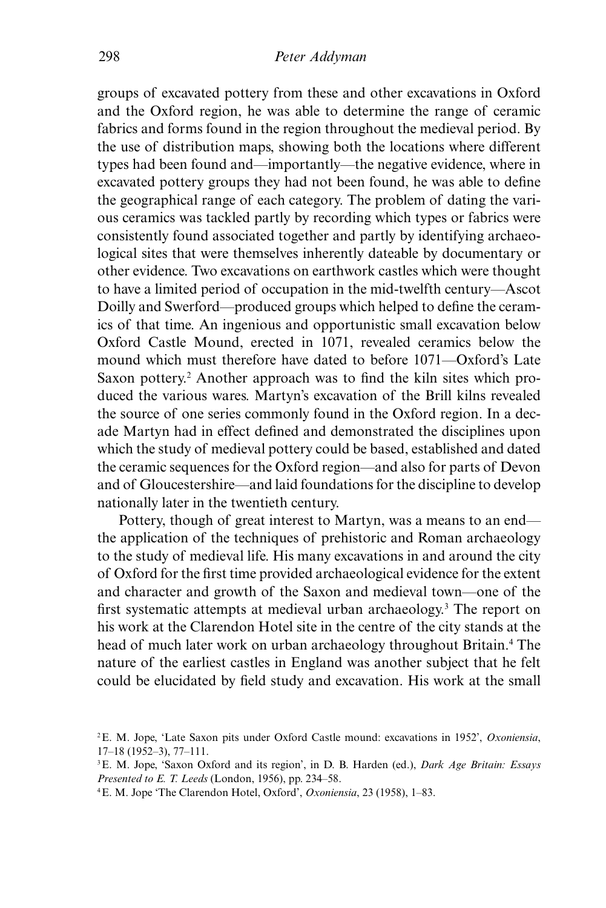groups of excavated pottery from these and other excavations in Oxford and the Oxford region, he was able to determine the range of ceramic fabrics and forms found in the region throughout the medieval period. By the use of distribution maps, showing both the locations where different types had been found and—importantly—the negative evidence, where in excavated pottery groups they had not been found, he was able to define the geographical range of each category. The problem of dating the various ceramics was tackled partly by recording which types or fabrics were consistently found associated together and partly by identifying archaeological sites that were themselves inherently dateable by documentary or other evidence. Two excavations on earthwork castles which were thought to have a limited period of occupation in the mid-twelfth century—Ascot Doilly and Swerford—produced groups which helped to define the ceramics of that time. An ingenious and opportunistic small excavation below Oxford Castle Mound, erected in 1071, revealed ceramics below the mound which must therefore have dated to before 1071—Oxford's Late Saxon pottery.<sup>2</sup> Another approach was to find the kiln sites which produced the various wares. Martyn's excavation of the Brill kilns revealed the source of one series commonly found in the Oxford region. In a decade Martyn had in effect defined and demonstrated the disciplines upon which the study of medieval pottery could be based, established and dated the ceramic sequences for the Oxford region—and also for parts of Devon and of Gloucestershire—and laid foundations for the discipline to develop nationally later in the twentieth century.

Pottery, though of great interest to Martyn, was a means to an end the application of the techniques of prehistoric and Roman archaeology to the study of medieval life. His many excavations in and around the city of Oxford for the first time provided archaeological evidence for the extent and character and growth of the Saxon and medieval town—one of the first systematic attempts at medieval urban archaeology.<sup>3</sup> The report on his work at the Clarendon Hotel site in the centre of the city stands at the head of much later work on urban archaeology throughout Britain.<sup>4</sup> The nature of the earliest castles in England was another subject that he felt could be elucidated by field study and excavation. His work at the small

<sup>2</sup>E. M. Jope, 'Late Saxon pits under Oxford Castle mound: excavations in 1952', *Oxoniensia*, 17–18 (1952–3), 77–111.

<sup>3</sup>E. M. Jope, 'Saxon Oxford and its region', in D. B. Harden (ed.), *Dark Age Britain: Essays Presented to E. T. Leeds* (London, 1956), pp. 234–58.

<sup>4</sup>E. M. Jope 'The Clarendon Hotel, Oxford', *Oxoniensia*, 23 (1958), 1–83.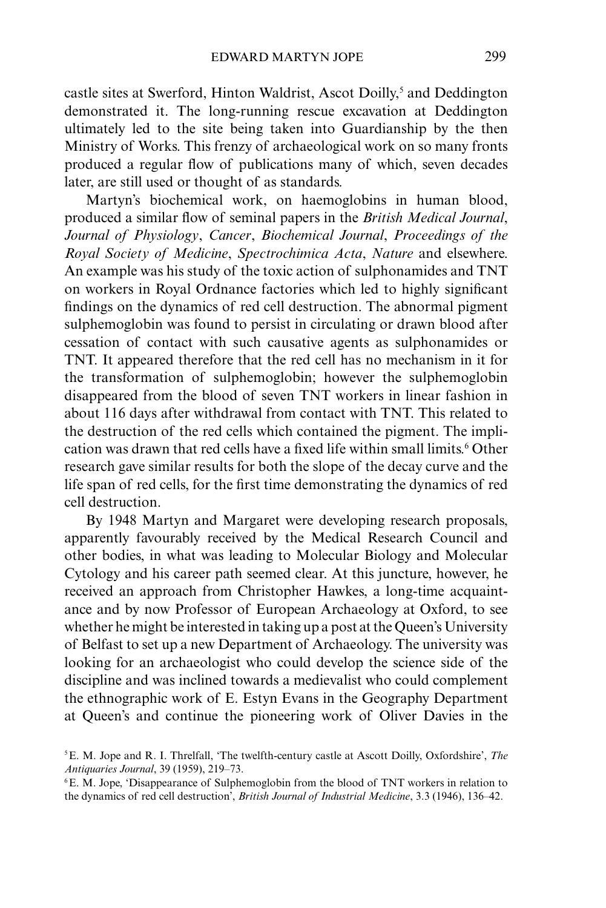castle sites at Swerford, Hinton Waldrist, Ascot Doilly,<sup>5</sup> and Deddington demonstrated it. The long-running rescue excavation at Deddington ultimately led to the site being taken into Guardianship by the then Ministry of Works. This frenzy of archaeological work on so many fronts produced a regular flow of publications many of which, seven decades later, are still used or thought of as standards.

Martyn's biochemical work, on haemoglobins in human blood, produced a similar flow of seminal papers in the *British Medical Journal*, *Journal of Physiology*, *Cancer*, *Biochemical Journal*, *Proceedings of the Royal Society of Medicine*, *Spectrochimica Acta*, *Nature* and elsewhere. An example was his study of the toxic action of sulphonamides and TNT on workers in Royal Ordnance factories which led to highly significant findings on the dynamics of red cell destruction. The abnormal pigment sulphemoglobin was found to persist in circulating or drawn blood after cessation of contact with such causative agents as sulphonamides or TNT. It appeared therefore that the red cell has no mechanism in it for the transformation of sulphemoglobin; however the sulphemoglobin disappeared from the blood of seven TNT workers in linear fashion in about 116 days after withdrawal from contact with TNT. This related to the destruction of the red cells which contained the pigment. The implication was drawn that red cells have a fixed life within small limits.<sup>6</sup> Other research gave similar results for both the slope of the decay curve and the life span of red cells, for the first time demonstrating the dynamics of red cell destruction.

By 1948 Martyn and Margaret were developing research proposals, apparently favourably received by the Medical Research Council and other bodies, in what was leading to Molecular Biology and Molecular Cytology and his career path seemed clear. At this juncture, however, he received an approach from Christopher Hawkes, a long-time acquaintance and by now Professor of European Archaeology at Oxford, to see whether he might be interested in taking up a post at the Queen's University of Belfast to set up a new Department of Archaeology. The university was looking for an archaeologist who could develop the science side of the discipline and was inclined towards a medievalist who could complement the ethnographic work of E. Estyn Evans in the Geography Department at Queen's and continue the pioneering work of Oliver Davies in the

<sup>5</sup>E. M. Jope and R. I. Threlfall, 'The twelfth-century castle at Ascott Doilly, Oxfordshire', *The Antiquaries Journal*, 39 (1959), 219–73.

<sup>6</sup>E. M. Jope, 'Disappearance of Sulphemoglobin from the blood of TNT workers in relation to the dynamics of red cell destruction', *British Journal of Industrial Medicine*, 3.3 (1946), 136–42.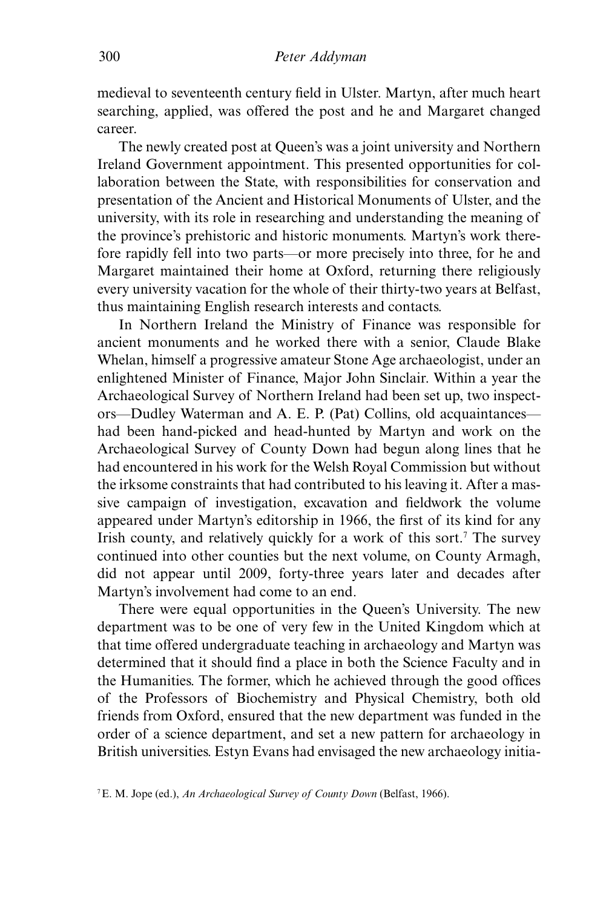medieval to seventeenth century field in Ulster. Martyn, after much heart searching, applied, was offered the post and he and Margaret changed career.

The newly created post at Queen's was a joint university and Northern Ireland Government appointment. This presented opportunities for collaboration between the State, with responsibilities for conservation and presentation of the Ancient and Historical Monuments of Ulster, and the university, with its role in researching and understanding the meaning of the province's prehistoric and historic monuments. Martyn's work therefore rapidly fell into two parts—or more precisely into three, for he and Margaret maintained their home at Oxford, returning there religiously every university vacation for the whole of their thirty-two years at Belfast, thus maintaining English research interests and contacts.

In Northern Ireland the Ministry of Finance was responsible for ancient monuments and he worked there with a senior, Claude Blake Whelan, himself a progressive amateur Stone Age archaeologist, under an enlightened Minister of Finance, Major John Sinclair. Within a year the Archaeological Survey of Northern Ireland had been set up, two inspectors—Dudley Waterman and A. E. P. (Pat) Collins, old acquaintances had been hand-picked and head-hunted by Martyn and work on the Archaeological Survey of County Down had begun along lines that he had encountered in his work for the Welsh Royal Commission but without the irksome constraints that had contributed to his leaving it. After a massive campaign of investigation, excavation and fieldwork the volume appeared under Martyn's editorship in 1966, the first of its kind for any Irish county, and relatively quickly for a work of this sort.<sup>7</sup> The survey continued into other counties but the next volume, on County Armagh, did not appear until 2009, forty-three years later and decades after Martyn's involvement had come to an end.

There were equal opportunities in the Queen's University. The new department was to be one of very few in the United Kingdom which at that time offered undergraduate teaching in archaeology and Martyn was determined that it should find a place in both the Science Faculty and in the Humanities. The former, which he achieved through the good offices of the Professors of Biochemistry and Physical Chemistry, both old friends from Oxford, ensured that the new department was funded in the order of a science department, and set a new pattern for archaeology in British universities. Estyn Evans had envisaged the new archaeology initia-

<sup>7</sup>E. M. Jope (ed.), *An Archaeological Survey of County Down* (Belfast, 1966).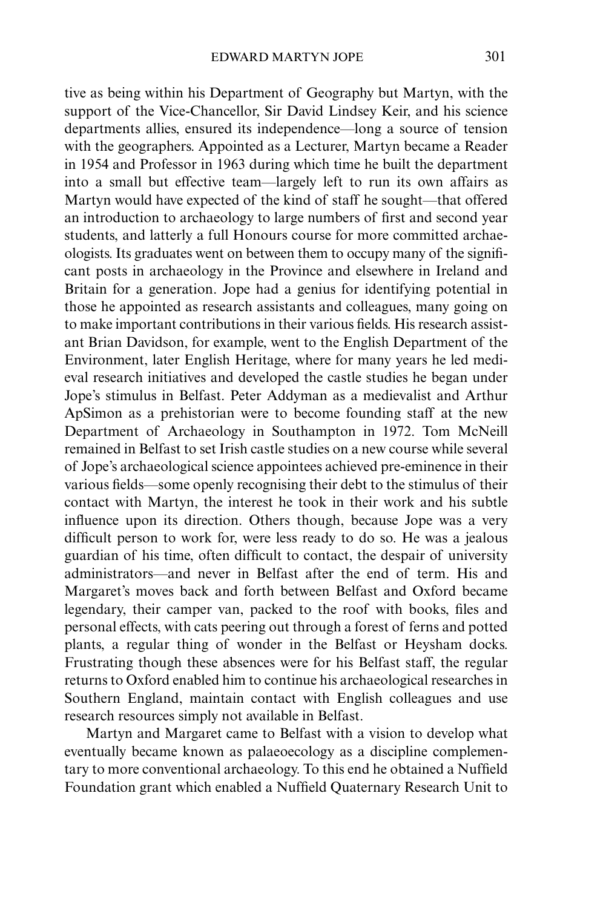tive as being within his Department of Geography but Martyn, with the support of the Vice-Chancellor, Sir David Lindsey Keir, and his science departments allies, ensured its independence—long a source of tension with the geographers. Appointed as a Lecturer, Martyn became a Reader in 1954 and Professor in 1963 during which time he built the department into a small but effective team—largely left to run its own affairs as Martyn would have expected of the kind of staff he sought—that offered an introduction to archaeology to large numbers of first and second year students, and latterly a full Honours course for more committed archaeologists. Its graduates went on between them to occupy many of the significant posts in archaeology in the Province and elsewhere in Ireland and Britain for a generation. Jope had a genius for identifying potential in those he appointed as research assistants and colleagues, many going on to make important contributions in their various fields. His research assistant Brian Davidson, for example, went to the English Department of the Environment, later English Heritage, where for many years he led medieval research initiatives and developed the castle studies he began under Jope's stimulus in Belfast. Peter Addyman as a medievalist and Arthur ApSimon as a prehistorian were to become founding staff at the new Department of Archaeology in Southampton in 1972. Tom McNeill remained in Belfast to set Irish castle studies on a new course while several of Jope's archaeological science appointees achieved pre-eminence in their various fields—some openly recognising their debt to the stimulus of their contact with Martyn, the interest he took in their work and his subtle influence upon its direction. Others though, because Jope was a very difficult person to work for, were less ready to do so. He was a jealous guardian of his time, often difficult to contact, the despair of university administrators—and never in Belfast after the end of term. His and Margaret's moves back and forth between Belfast and Oxford became legendary, their camper van, packed to the roof with books, files and personal effects, with cats peering out through a forest of ferns and potted plants, a regular thing of wonder in the Belfast or Heysham docks. Frustrating though these absences were for his Belfast staff, the regular returns to Oxford enabled him to continue his archaeological researches in Southern England, maintain contact with English colleagues and use research resources simply not available in Belfast.

Martyn and Margaret came to Belfast with a vision to develop what eventually became known as palaeoecology as a discipline complementary to more conventional archaeology. To this end he obtained a Nuffield Foundation grant which enabled a Nuffield Quaternary Research Unit to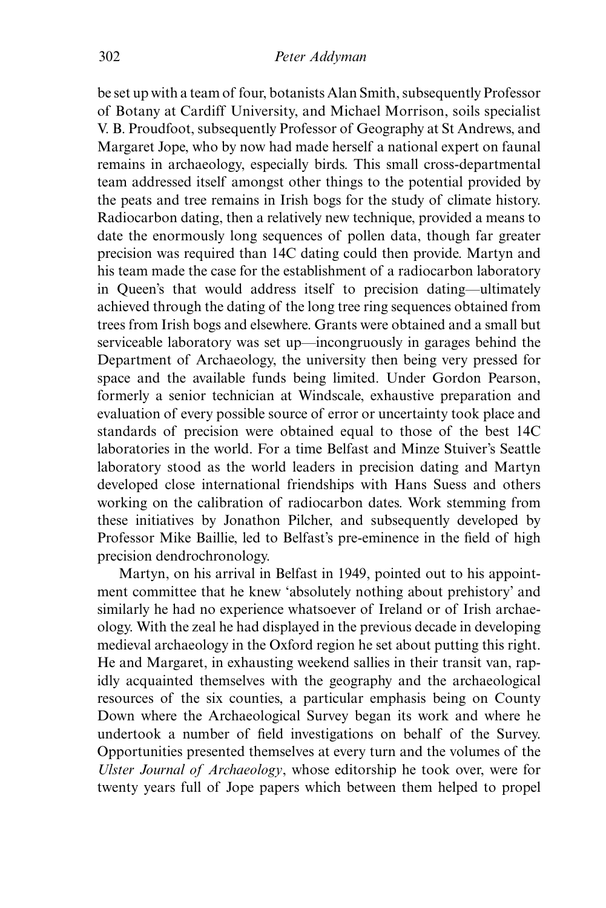be set up with a team of four, botanists Alan Smith, subsequently Professor of Botany at Cardiff University, and Michael Morrison, soils specialist V. B. Proudfoot, subsequently Professor of Geography at St Andrews, and Margaret Jope, who by now had made herself a national expert on faunal remains in archaeology, especially birds. This small cross-departmental team addressed itself amongst other things to the potential provided by the peats and tree remains in Irish bogs for the study of climate history. Radiocarbon dating, then a relatively new technique, provided a means to date the enormously long sequences of pollen data, though far greater precision was required than 14C dating could then provide. Martyn and his team made the case for the establishment of a radiocarbon laboratory in Queen's that would address itself to precision dating—ultimately achieved through the dating of the long tree ring sequences obtained from trees from Irish bogs and elsewhere. Grants were obtained and a small but serviceable laboratory was set up—incongruously in garages behind the Department of Archaeology, the university then being very pressed for space and the available funds being limited. Under Gordon Pearson, formerly a senior technician at Windscale, exhaustive preparation and evaluation of every possible source of error or uncertainty took place and standards of precision were obtained equal to those of the best 14C laboratories in the world. For a time Belfast and Minze Stuiver's Seattle laboratory stood as the world leaders in precision dating and Martyn developed close international friendships with Hans Suess and others working on the calibration of radiocarbon dates. Work stemming from these initiatives by Jonathon Pilcher, and subsequently developed by Professor Mike Baillie, led to Belfast's pre-eminence in the field of high precision dendrochronology.

Martyn, on his arrival in Belfast in 1949, pointed out to his appointment committee that he knew 'absolutely nothing about prehistory' and similarly he had no experience whatsoever of Ireland or of Irish archaeology. With the zeal he had displayed in the previous decade in developing medieval archaeology in the Oxford region he set about putting this right. He and Margaret, in exhausting weekend sallies in their transit van, rapidly acquainted themselves with the geography and the archaeological resources of the six counties, a particular emphasis being on County Down where the Archaeological Survey began its work and where he undertook a number of field investigations on behalf of the Survey. Opportunities presented themselves at every turn and the volumes of the *Ulster Journal of Archaeology*, whose editorship he took over, were for twenty years full of Jope papers which between them helped to propel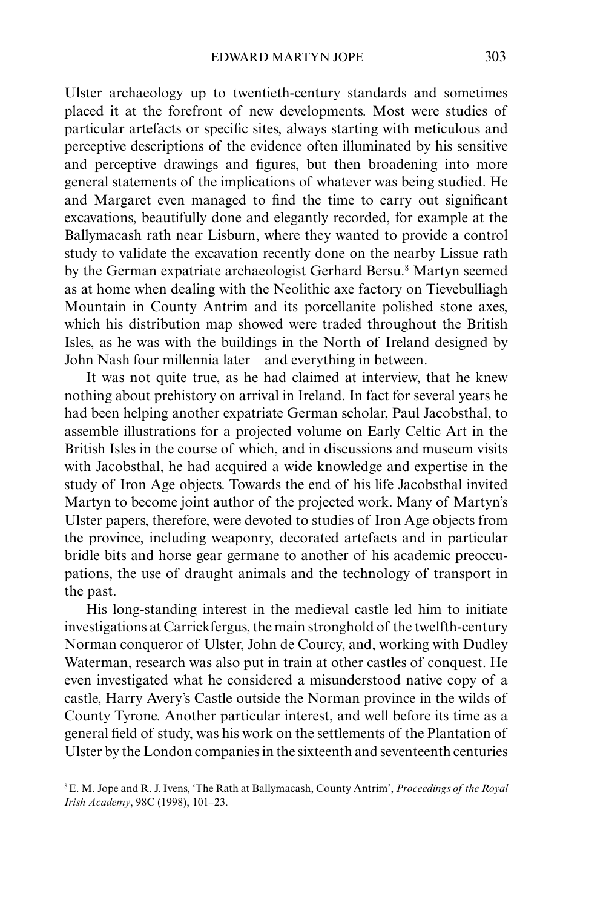Ulster archaeology up to twentieth-century standards and sometimes placed it at the forefront of new developments. Most were studies of particular artefacts or specific sites, always starting with meticulous and perceptive descriptions of the evidence often illuminated by his sensitive and perceptive drawings and figures, but then broadening into more general statements of the implications of whatever was being studied. He and Margaret even managed to find the time to carry out significant excavations, beautifully done and elegantly recorded, for example at the Ballymacash rath near Lisburn, where they wanted to provide a control study to validate the excavation recently done on the nearby Lissue rath by the German expatriate archaeologist Gerhard Bersu.<sup>8</sup> Martyn seemed as at home when dealing with the Neolithic axe factory on Tievebulliagh Mountain in County Antrim and its porcellanite polished stone axes, which his distribution map showed were traded throughout the British Isles, as he was with the buildings in the North of Ireland designed by John Nash four millennia later—and everything in between.

It was not quite true, as he had claimed at interview, that he knew nothing about prehistory on arrival in Ireland. In fact for several years he had been helping another expatriate German scholar, Paul Jacobsthal, to assemble illustrations for a projected volume on Early Celtic Art in the British Isles in the course of which, and in discussions and museum visits with Jacobsthal, he had acquired a wide knowledge and expertise in the study of Iron Age objects. Towards the end of his life Jacobsthal invited Martyn to become joint author of the projected work. Many of Martyn's Ulster papers, therefore, were devoted to studies of Iron Age objects from the province, including weaponry, decorated artefacts and in particular bridle bits and horse gear germane to another of his academic preoccupations, the use of draught animals and the technology of transport in the past.

His long-standing interest in the medieval castle led him to initiate investigations at Carrickfergus, the main stronghold of the twelfth-century Norman conqueror of Ulster, John de Courcy, and, working with Dudley Waterman, research was also put in train at other castles of conquest. He even investigated what he considered a misunderstood native copy of a castle, Harry Avery's Castle outside the Norman province in the wilds of County Tyrone. Another particular interest, and well before its time as a general field of study, was his work on the settlements of the Plantation of Ulster by the London companies in the sixteenth and seventeenth centuries

8E. M. Jope and R. J. Ivens, 'The Rath at Ballymacash, County Antrim', *Proceedings of the Royal Irish Academy*, 98C (1998), 101–23.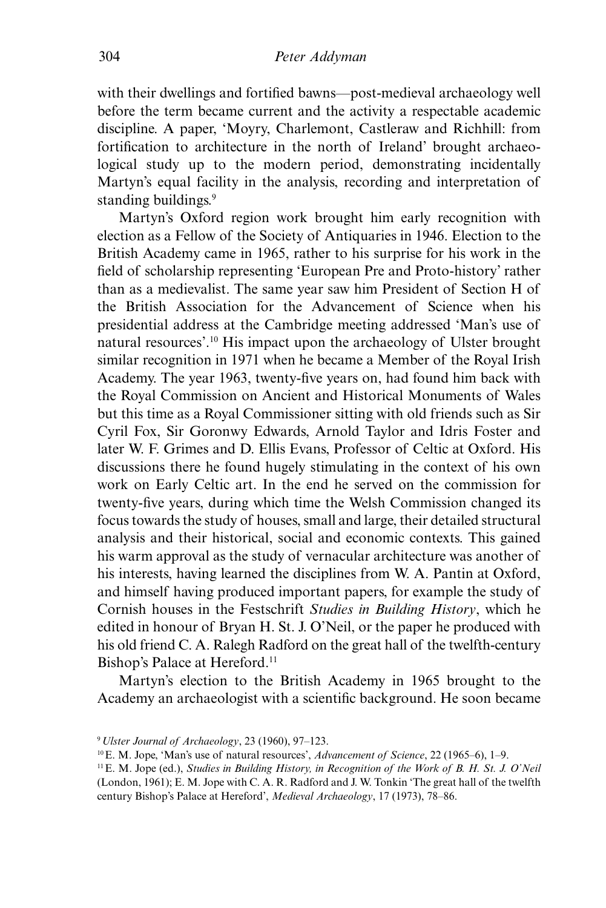with their dwellings and fortified bawns—post-medieval archaeology well before the term became current and the activity a respectable academic discipline. A paper, 'Moyry, Charlemont, Castleraw and Richhill: from fortification to architecture in the north of Ireland' brought archaeological study up to the modern period, demonstrating incidentally Martyn's equal facility in the analysis, recording and interpretation of standing buildings.<sup>9</sup>

Martyn's Oxford region work brought him early recognition with election as a Fellow of the Society of Antiquaries in 1946. Election to the British Academy came in 1965, rather to his surprise for his work in the field of scholarship representing 'European Pre and Proto-history' rather than as a medievalist. The same year saw him President of Section H of the British Association for the Advancement of Science when his presidential address at the Cambridge meeting addressed 'Man's use of natural resources'.10 His impact upon the archaeology of Ulster brought similar recognition in 1971 when he became a Member of the Royal Irish Academy. The year 1963, twenty-five years on, had found him back with the Royal Commission on Ancient and Historical Monuments of Wales but this time as a Royal Commissioner sitting with old friends such as Sir Cyril Fox, Sir Goronwy Edwards, Arnold Taylor and Idris Foster and later W. F. Grimes and D. Ellis Evans, Professor of Celtic at Oxford. His discussions there he found hugely stimulating in the context of his own work on Early Celtic art. In the end he served on the commission for twenty-five years, during which time the Welsh Commission changed its focus towards the study of houses, small and large, their detailed structural analysis and their historical, social and economic contexts. This gained his warm approval as the study of vernacular architecture was another of his interests, having learned the disciplines from W. A. Pantin at Oxford, and himself having produced important papers, for example the study of Cornish houses in the Festschrift *Studies in Building History*, which he edited in honour of Bryan H. St. J. O'Neil, or the paper he produced with his old friend C. A. Ralegh Radford on the great hall of the twelfth-century Bishop's Palace at Hereford.<sup>11</sup>

Martyn's election to the British Academy in 1965 brought to the Academy an archaeologist with a scientific background. He soon became

<sup>9</sup>*Ulster Journal of Archaeology*, 23 (1960), 97–123.

<sup>10</sup>E. M. Jope, 'Man's use of natural resources', *Advancement of Science*, 22 (1965–6), 1–9.

<sup>11</sup>E. M. Jope (ed.), *Studies in Building History, in Recognition of the Work of B. H. St. J. O'Neil* (London, 1961); E. M. Jope with C. A. R. Radford and J. W. Tonkin 'The great hall of the twelfth century Bishop's Palace at Hereford', *Medieval Archaeology*, 17 (1973), 78–86.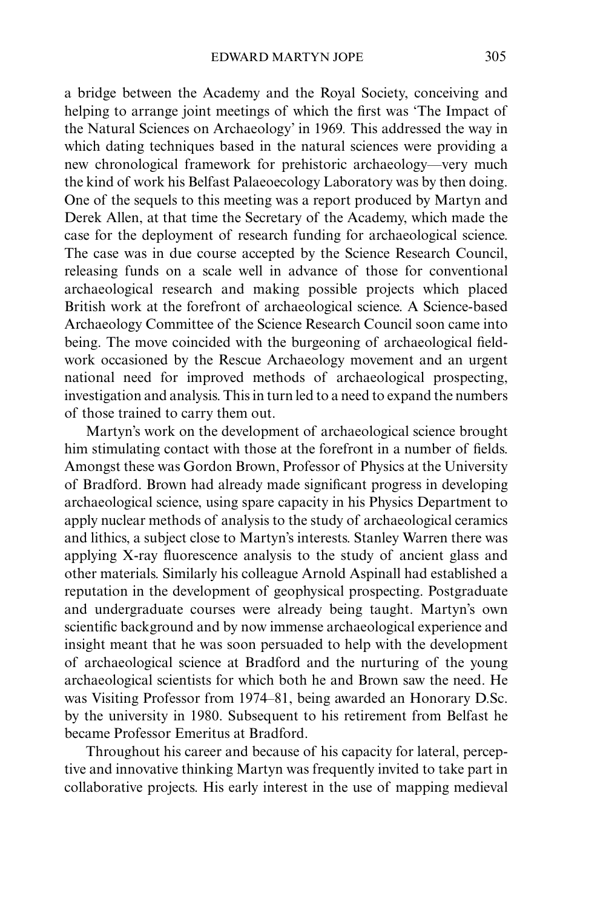a bridge between the Academy and the Royal Society, conceiving and helping to arrange joint meetings of which the first was 'The Impact of the Natural Sciences on Archaeology' in 1969*.* This addressed the way in which dating techniques based in the natural sciences were providing a new chronological framework for prehistoric archaeology—very much the kind of work his Belfast Palaeoecology Laboratory was by then doing. One of the sequels to this meeting was a report produced by Martyn and Derek Allen, at that time the Secretary of the Academy, which made the case for the deployment of research funding for archaeological science. The case was in due course accepted by the Science Research Council, releasing funds on a scale well in advance of those for conventional archaeological research and making possible projects which placed British work at the forefront of archaeological science. A Science-based Archaeology Committee of the Science Research Council soon came into being. The move coincided with the burgeoning of archaeological fieldwork occasioned by the Rescue Archaeology movement and an urgent national need for improved methods of archaeological prospecting, investigation and analysis. This in turn led to a need to expand the numbers of those trained to carry them out.

Martyn's work on the development of archaeological science brought him stimulating contact with those at the forefront in a number of fields. Amongst these was Gordon Brown, Professor of Physics at the University of Bradford. Brown had already made significant progress in developing archaeological science, using spare capacity in his Physics Department to apply nuclear methods of analysis to the study of archaeological ceramics and lithics, a subject close to Martyn's interests. Stanley Warren there was applying X-ray fluorescence analysis to the study of ancient glass and other materials. Similarly his colleague Arnold Aspinall had established a reputation in the development of geophysical prospecting. Postgraduate and undergraduate courses were already being taught. Martyn's own scientific background and by now immense archaeological experience and insight meant that he was soon persuaded to help with the development of archaeological science at Bradford and the nurturing of the young archaeological scientists for which both he and Brown saw the need. He was Visiting Professor from 1974–81, being awarded an Honorary D.Sc. by the university in 1980. Subsequent to his retirement from Belfast he became Professor Emeritus at Bradford.

Throughout his career and because of his capacity for lateral, perceptive and innovative thinking Martyn was frequently invited to take part in collaborative projects. His early interest in the use of mapping medieval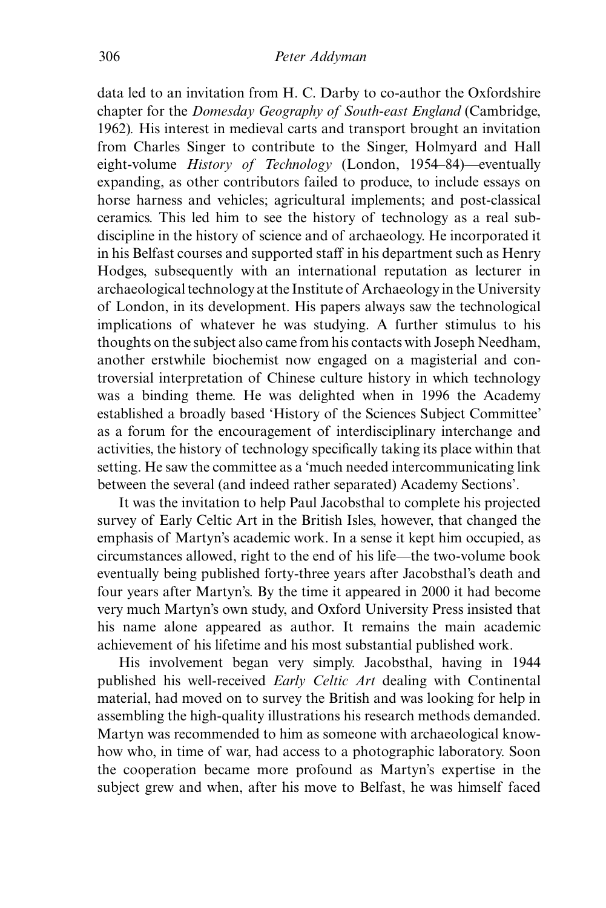data led to an invitation from H. C. Darby to co-author the Oxfordshire chapter for the *Domesday Geography of South-east England* (Cambridge, 1962)*.* His interest in medieval carts and transport brought an invitation from Charles Singer to contribute to the Singer, Holmyard and Hall eight-volume *History of Technology* (London, 1954–84)—eventually expanding, as other contributors failed to produce, to include essays on horse harness and vehicles; agricultural implements; and post-classical ceramics. This led him to see the history of technology as a real sub-discipline in the history of science and of archaeology. He incorporated it in his Belfast courses and supported staff in his department such as Henry Hodges, subsequently with an international reputation as lecturer in archaeological technology at the Institute of Archaeology in the University of London, in its development. His papers always saw the technological implications of whatever he was studying. A further stimulus to his thoughts on the subject also came from his contacts with Joseph Needham, another erstwhile biochemist now engaged on a magisterial and controversial interpretation of Chinese culture history in which technology was a binding theme. He was delighted when in 1996 the Academy established a broadly based 'History of the Sciences Subject Committee' as a forum for the encouragement of interdisciplinary interchange and activities, the history of technology specifically taking its place within that setting. He saw the committee as a 'much needed intercommunicating link between the several (and indeed rather separated) Academy Sections'.

It was the invitation to help Paul Jacobsthal to complete his projected survey of Early Celtic Art in the British Isles, however, that changed the emphasis of Martyn's academic work. In a sense it kept him occupied, as circumstances allowed, right to the end of his life—the two-volume book eventually being published forty-three years after Jacobsthal's death and four years after Martyn's. By the time it appeared in 2000 it had become very much Martyn's own study, and Oxford University Press insisted that his name alone appeared as author. It remains the main academic achievement of his lifetime and his most substantial published work.

His involvement began very simply. Jacobsthal, having in 1944 published his well-received *Early Celtic Art* dealing with Continental material, had moved on to survey the British and was looking for help in assembling the high-quality illustrations his research methods demanded. Martyn was recommended to him as someone with archaeological knowhow who, in time of war, had access to a photographic laboratory. Soon the cooperation became more profound as Martyn's expertise in the subject grew and when, after his move to Belfast, he was himself faced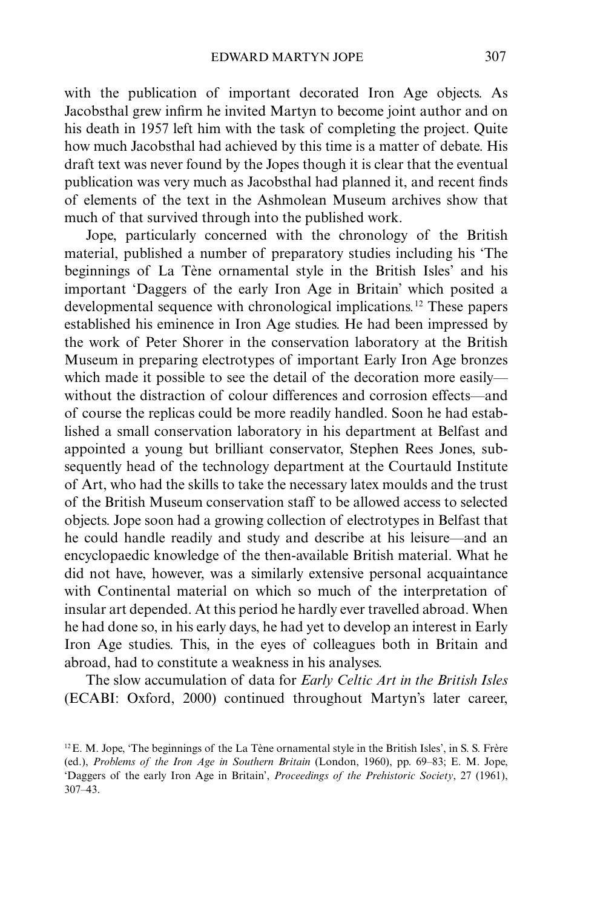with the publication of important decorated Iron Age objects. As Jacobsthal grew infirm he invited Martyn to become joint author and on his death in 1957 left him with the task of completing the project. Quite how much Jacobsthal had achieved by this time is a matter of debate. His draft text was never found by the Jopes though it is clear that the eventual publication was very much as Jacobsthal had planned it, and recent finds of elements of the text in the Ashmolean Museum archives show that much of that survived through into the published work.

Jope, particularly concerned with the chronology of the British material, published a number of preparatory studies including his 'The beginnings of La Tène ornamental style in the British Isles' and his important 'Daggers of the early Iron Age in Britain' which posited a developmental sequence with chronological implications*.* 12 These papers established his eminence in Iron Age studies. He had been impressed by the work of Peter Shorer in the conservation laboratory at the British Museum in preparing electrotypes of important Early Iron Age bronzes which made it possible to see the detail of the decoration more easily without the distraction of colour differences and corrosion effects—and of course the replicas could be more readily handled. Soon he had established a small conservation laboratory in his department at Belfast and appointed a young but brilliant conservator, Stephen Rees Jones, subsequently head of the technology department at the Courtauld Institute of Art, who had the skills to take the necessary latex moulds and the trust of the British Museum conservation staff to be allowed access to selected objects. Jope soon had a growing collection of electrotypes in Belfast that he could handle readily and study and describe at his leisure—and an encyclopaedic knowledge of the then-available British material. What he did not have, however, was a similarly extensive personal acquaintance with Continental material on which so much of the interpretation of insular art depended. At this period he hardly ever travelled abroad. When he had done so, in his early days, he had yet to develop an interest in Early Iron Age studies. This, in the eyes of colleagues both in Britain and abroad, had to constitute a weakness in his analyses.

The slow accumulation of data for *Early Celtic Art in the British Isles* (ECABI: Oxford, 2000) continued throughout Martyn's later career,

 $12$ E. M. Jope, 'The beginnings of the La Tène ornamental style in the British Isles', in S. S. Frère (ed.), *Problems of the Iron Age in Southern Britain* (London, 1960), pp. 69–83; E. M. Jope, 'Daggers of the early Iron Age in Britain', *Proceedings of the Prehistoric Society*, 27 (1961), 307–43.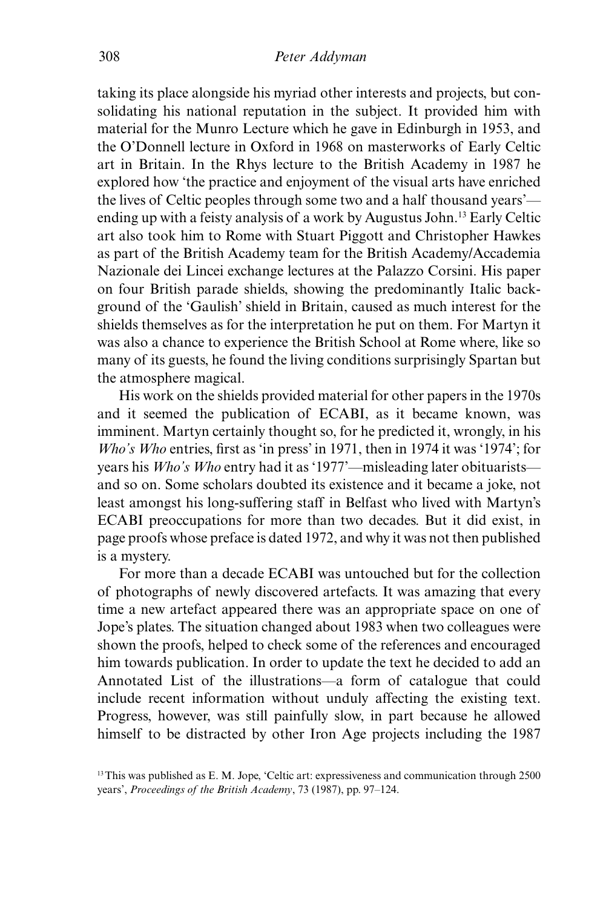taking its place alongside his myriad other interests and projects, but consolidating his national reputation in the subject. It provided him with material for the Munro Lecture which he gave in Edinburgh in 1953, and the O'Donnell lecture in Oxford in 1968 on masterworks of Early Celtic art in Britain. In the Rhys lecture to the British Academy in 1987 he explored how 'the practice and enjoyment of the visual arts have enriched the lives of Celtic peoples through some two and a half thousand years' ending up with a feisty analysis of a work by Augustus John.13 Early Celtic art also took him to Rome with Stuart Piggott and Christopher Hawkes as part of the British Academy team for the British Academy/Accademia Nazionale dei Lincei exchange lectures at the Palazzo Corsini. His paper on four British parade shields, showing the predominantly Italic background of the 'Gaulish' shield in Britain, caused as much interest for the shields themselves as for the interpretation he put on them. For Martyn it was also a chance to experience the British School at Rome where, like so many of its guests, he found the living conditions surprisingly Spartan but the atmosphere magical.

His work on the shields provided material for other papers in the 1970s and it seemed the publication of ECABI, as it became known, was imminent. Martyn certainly thought so, for he predicted it, wrongly, in his *Who's Who* entries, first as 'in press' in 1971, then in 1974 it was '1974'; for years his *Who's Who* entry had it as '1977'—misleading later obituarists and so on. Some scholars doubted its existence and it became a joke, not least amongst his long-suffering staff in Belfast who lived with Martyn's ECABI preoccupations for more than two decades. But it did exist, in page proofs whose preface is dated 1972, and why it was not then published is a mystery.

For more than a decade ECABI was untouched but for the collection of photographs of newly discovered artefacts. It was amazing that every time a new artefact appeared there was an appropriate space on one of Jope's plates. The situation changed about 1983 when two colleagues were shown the proofs, helped to check some of the references and encouraged him towards publication. In order to update the text he decided to add an Annotated List of the illustrations—a form of catalogue that could include recent information without unduly affecting the existing text. Progress, however, was still painfully slow, in part because he allowed himself to be distracted by other Iron Age projects including the 1987

<sup>&</sup>lt;sup>13</sup>This was published as E. M. Jope, 'Celtic art: expressiveness and communication through 2500 years', *Proceedings of the British Academy*, 73 (1987), pp. 97–124.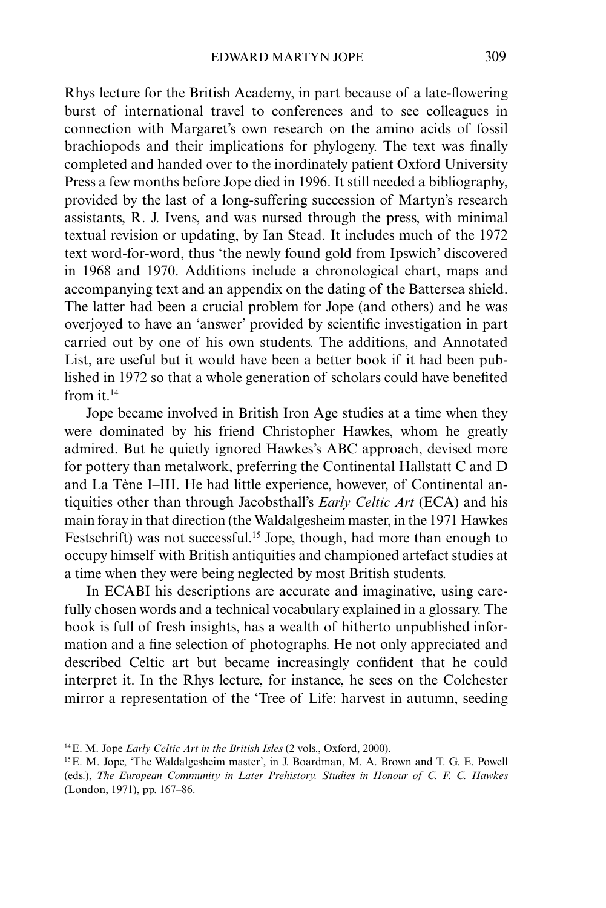Rhys lecture for the British Academy, in part because of a late-flowering burst of international travel to conferences and to see colleagues in connection with Margaret's own research on the amino acids of fossil brachiopods and their implications for phylogeny. The text was finally completed and handed over to the inordinately patient Oxford University Press a few months before Jope died in 1996. It still needed a bibliography, provided by the last of a long-suffering succession of Martyn's research assistants, R. J. Ivens, and was nursed through the press, with minimal textual revision or updating, by Ian Stead. It includes much of the 1972 text word-for-word, thus 'the newly found gold from Ipswich' discovered in 1968 and 1970. Additions include a chronological chart, maps and accompanying text and an appendix on the dating of the Battersea shield. The latter had been a crucial problem for Jope (and others) and he was overjoyed to have an 'answer' provided by scientific investigation in part carried out by one of his own students. The additions, and Annotated List, are useful but it would have been a better book if it had been published in 1972 so that a whole generation of scholars could have benefited from it.14

Jope became involved in British Iron Age studies at a time when they were dominated by his friend Christopher Hawkes, whom he greatly admired. But he quietly ignored Hawkes's ABC approach, devised more for pottery than metalwork, preferring the Continental Hallstatt C and D and La Tène I–III. He had little experience, however, of Continental antiquities other than through Jacobsthall's *Early Celtic Art* (ECA) and his main foray in that direction (the Waldalgesheim master, in the 1971 Hawkes Festschrift) was not successful.<sup>15</sup> Jope, though, had more than enough to occupy himself with British antiquities and championed artefact studies at a time when they were being neglected by most British students.

In ECABI his descriptions are accurate and imaginative, using carefully chosen words and a technical vocabulary explained in a glossary. The book is full of fresh insights, has a wealth of hitherto unpublished information and a fine selection of photographs. He not only appreciated and described Celtic art but became increasingly confident that he could interpret it. In the Rhys lecture, for instance, he sees on the Colchester mirror a representation of the 'Tree of Life: harvest in autumn, seeding

<sup>14</sup>E. M. Jope *Early Celtic Art in the British Isles* (2 vols., Oxford, 2000).

<sup>&</sup>lt;sup>15</sup> E. M. Jope, 'The Waldalgesheim master', in J. Boardman, M. A. Brown and T. G. E. Powell (eds.), *The European Community in Later Prehistory. Studies in Honour of C. F. C. Hawkes* (London, 1971), pp. 167–86.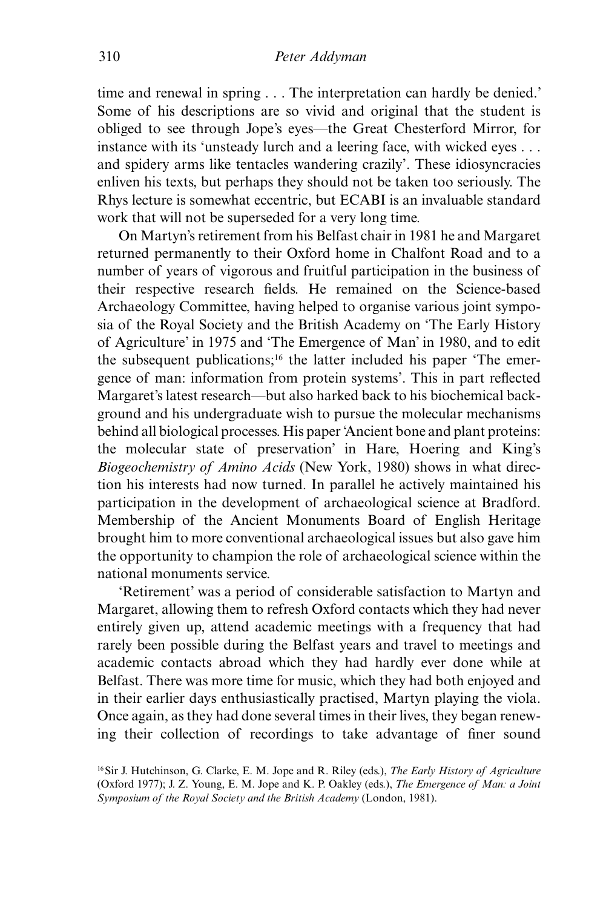time and renewal in spring . . . The interpretation can hardly be denied.' Some of his descriptions are so vivid and original that the student is obliged to see through Jope's eyes—the Great Chesterford Mirror, for instance with its 'unsteady lurch and a leering face, with wicked eyes . . . and spidery arms like tentacles wandering crazily'. These idiosyncracies enliven his texts, but perhaps they should not be taken too seriously. The Rhys lecture is somewhat eccentric, but ECABI is an invaluable standard work that will not be superseded for a very long time.

On Martyn's retirement from his Belfast chair in 1981 he and Margaret returned permanently to their Oxford home in Chalfont Road and to a number of years of vigorous and fruitful participation in the business of their respective research fields. He remained on the Science-based Archaeology Committee, having helped to organise various joint symposia of the Royal Society and the British Academy on 'The Early History of Agriculture' in 1975 and 'The Emergence of Man' in 1980, and to edit the subsequent publications;<sup>16</sup> the latter included his paper 'The emergence of man: information from protein systems'. This in part reflected Margaret's latest research—but also harked back to his biochemical background and his undergraduate wish to pursue the molecular mechanisms behind all biological processes. His paper 'Ancient bone and plant proteins: the molecular state of preservation' in Hare, Hoering and King's *Biogeochemistry of Amino Acids* (New York, 1980) shows in what direction his interests had now turned. In parallel he actively maintained his participation in the development of archaeological science at Bradford. Membership of the Ancient Monuments Board of English Heritage brought him to more conventional archaeological issues but also gave him the opportunity to champion the role of archaeological science within the national monuments service.

'Retirement' was a period of considerable satisfaction to Martyn and Margaret, allowing them to refresh Oxford contacts which they had never entirely given up, attend academic meetings with a frequency that had rarely been possible during the Belfast years and travel to meetings and academic contacts abroad which they had hardly ever done while at Belfast. There was more time for music, which they had both enjoyed and in their earlier days enthusiastically practised, Martyn playing the viola. Once again, as they had done several times in their lives, they began renewing their collection of recordings to take advantage of finer sound

<sup>16</sup>Sir J. Hutchinson, G. Clarke, E. M. Jope and R. Riley (eds.), *The Early History of Agriculture* (Oxford 1977); J. Z. Young, E. M. Jope and K. P. Oakley (eds.), *The Emergence of Man: a Joint Symposium of the Royal Society and the British Academy* (London, 1981).